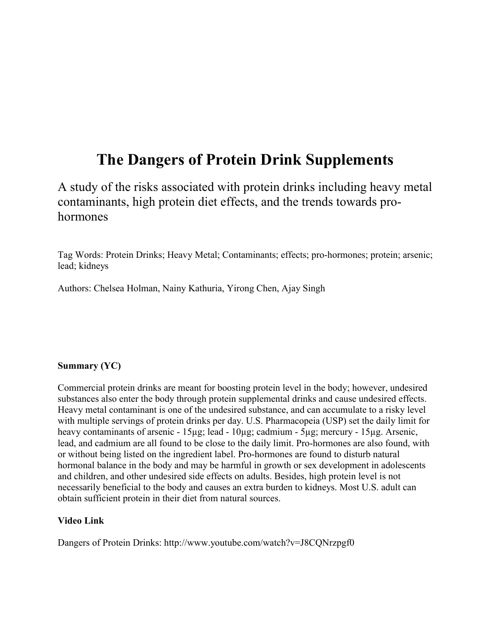# **The Dangers of Protein Drink Supplements**

A study of the risks associated with protein drinks including heavy metal contaminants, high protein diet effects, and the trends towards prohormones

Tag Words: Protein Drinks; Heavy Metal; Contaminants; effects; pro-hormones; protein; arsenic; lead; kidneys

Authors: Chelsea Holman, Nainy Kathuria, Yirong Chen, Ajay Singh

# **Summary (YC)**

Commercial protein drinks are meant for boosting protein level in the body; however, undesired substances also enter the body through protein supplemental drinks and cause undesired effects. Heavy metal contaminant is one of the undesired substance, and can accumulate to a risky level with multiple servings of protein drinks per day. U.S. Pharmacopeia (USP) set the daily limit for heavy contaminants of arsenic - 15µg; lead - 10µg; cadmium - 5µg; mercury - 15µg. Arsenic, lead, and cadmium are all found to be close to the daily limit. Pro-hormones are also found, with or without being listed on the ingredient label. Pro-hormones are found to disturb natural hormonal balance in the body and may be harmful in growth or sex development in adolescents and children, and other undesired side effects on adults. Besides, high protein level is not necessarily beneficial to the body and causes an extra burden to kidneys. Most U.S. adult can obtain sufficient protein in their diet from natural sources.

#### **Video Link**

Dangers of Protein Drinks:<http://www.youtube.com/watch?v=J8CQNrzpgf0>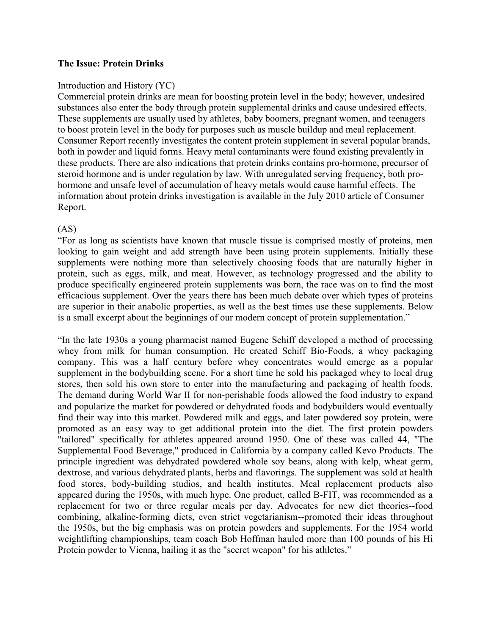#### **The Issue: Protein Drinks**

#### Introduction and History (YC)

Commercial protein drinks are mean for boosting protein level in the body; however, undesired substances also enter the body through protein supplemental drinks and cause undesired effects. These supplements are usually used by athletes, baby boomers, pregnant women, and teenagers to boost protein level in the body for purposes such as muscle buildup and meal replacement. Consumer Report recently investigates the content protein supplement in several popular brands, both in powder and liquid forms. Heavy metal contaminants were found existing prevalently in these products. There are also indications that protein drinks contains pro-hormone, precursor of steroid hormone and is under regulation by law. With unregulated serving frequency, both prohormone and unsafe level of accumulation of heavy metals would cause harmful effects. The information about protein drinks investigation is available in the July 2010 article of Consumer Report.

### (AS)

"For as long as scientists have known that muscle tissue is comprised mostly of proteins, men looking to gain weight and add strength have been using protein supplements. Initially these supplements were nothing more than selectively choosing foods that are naturally higher in protein, such as eggs, milk, and meat. However, as technology progressed and the ability to produce specifically engineered protein supplements was born, the race was on to find the most efficacious supplement. Over the years there has been much debate over which types of proteins are superior in their anabolic properties, as well as the best times use these supplements. Below is a small excerpt about the beginnings of our modern concept of protein supplementation."

"In the late 1930s a young pharmacist named Eugene Schiff developed a method of processing whey from milk for human consumption. He created Schiff Bio-Foods, a whey packaging company. This was a half century before whey concentrates would emerge as a popular supplement in the bodybuilding scene. For a short time he sold his packaged whey to local drug stores, then sold his own store to enter into the manufacturing and packaging of health foods. The demand during World War II for non-perishable foods allowed the food industry to expand and popularize the market for powdered or dehydrated foods and bodybuilders would eventually find their way into this market. Powdered milk and eggs, and later powdered soy protein, were promoted as an easy way to get additional protein into the diet. The first protein powders "tailored" specifically for athletes appeared around 1950. One of these was called 44, "The Supplemental Food Beverage," produced in California by a company called Kevo Products. The principle ingredient was dehydrated powdered whole soy beans, along with kelp, wheat germ, dextrose, and various dehydrated plants, herbs and flavorings. The supplement was sold at health food stores, body-building studios, and health institutes. Meal replacement products also appeared during the 1950s, with much hype. One product, called B-FIT, was recommended as a replacement for two or three regular meals per day. Advocates for new diet theories--food combining, alkaline-forming diets, even strict vegetarianism--promoted their ideas throughout the 1950s, but the big emphasis was on protein powders and supplements. For the 1954 world weightlifting championships, team coach Bob Hoffman hauled more than 100 pounds of his Hi Protein powder to Vienna, hailing it as the "secret weapon" for his athletes."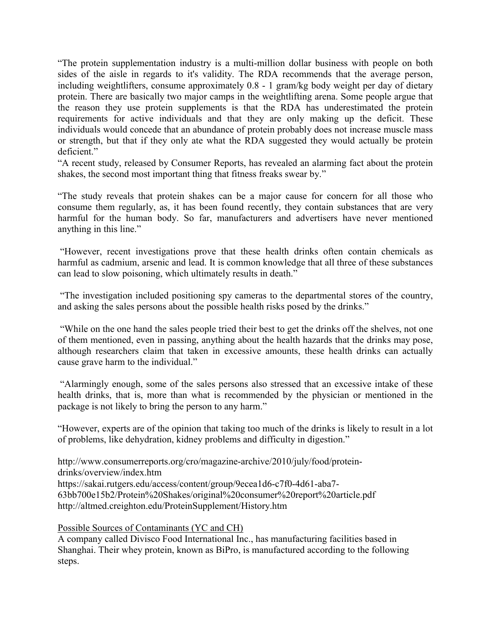"The protein supplementation industry is a multi-million dollar business with people on both sides of the aisle in regards to it's validity. The RDA recommends that the average person, including weightlifters, consume approximately 0.8 - 1 gram/kg body weight per day of dietary protein. There are basically two major camps in the weightlifting arena. Some people argue that the reason they use protein supplements is that the RDA has underestimated the protein requirements for active individuals and that they are only making up the deficit. These individuals would concede that an abundance of protein probably does not increase muscle mass or strength, but that if they only ate what the RDA suggested they would actually be protein deficient."

"A recent study, released by Consumer Reports, has revealed an alarming fact about the protein shakes, the second most important thing that fitness freaks swear by."

"The study reveals that protein shakes can be a major cause for concern for all those who consume them regularly, as, it has been found recently, they contain substances that are very harmful for the human body. So far, manufacturers and advertisers have never mentioned anything in this line."

"However, recent investigations prove that these health drinks often contain chemicals as harmful as cadmium, arsenic and lead. It is common knowledge that all three of these substances can lead to slow poisoning, which ultimately results in death."

"The investigation included positioning spy cameras to the departmental stores of the country, and asking the sales persons about the possible health risks posed by the drinks."

"While on the one hand the sales people tried their best to get the drinks off the shelves, not one of them mentioned, even in passing, anything about the health hazards that the drinks may pose, although researchers claim that taken in excessive amounts, these health drinks can actually cause grave harm to the individual."

"Alarmingly enough, some of the sales persons also stressed that an excessive intake of these health drinks, that is, more than what is recommended by the physician or mentioned in the package is not likely to bring the person to any harm."

"However, experts are of the opinion that taking too much of the drinks is likely to result in a lot of problems, like dehydration, kidney problems and difficulty in digestion."

[http://www.consumerreports.org/cro/magazine-archive/2010/july/food/protein](http://www.consumerreports.org/cro/magazine-archive/2010/july/food/protein-drinks/overview/index.htm)[drinks/overview/index.htm](http://www.consumerreports.org/cro/magazine-archive/2010/july/food/protein-drinks/overview/index.htm) [https://sakai.rutgers.edu/access/content/group/9ecea1d6-c7f0-4d61-aba7-](https://sakai.rutgers.edu/access/content/group/9ecea1d6-c7f0-4d61-aba7-63bb700e15b2/Protein%20Shakes/original%20consumer%20report%20article.pdf) [63bb700e15b2/Protein%20Shakes/original%20consumer%20report%20article.pdf](https://sakai.rutgers.edu/access/content/group/9ecea1d6-c7f0-4d61-aba7-63bb700e15b2/Protein%20Shakes/original%20consumer%20report%20article.pdf) <http://altmed.creighton.edu/ProteinSupplement/History.htm>

Possible Sources of Contaminants (YC and CH)

A company called Divisco Food International Inc., has manufacturing facilities based in Shanghai. Their whey protein, known as BiPro, is manufactured according to the following steps.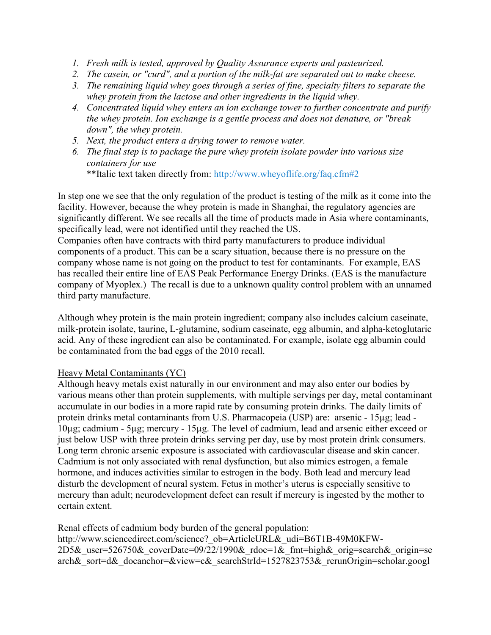- *1. Fresh milk is tested, approved by Quality Assurance experts and pasteurized.*
- *2. The casein, or "curd", and a portion of the milk-fat are separated out to make cheese.*
- *3. The remaining liquid whey goes through a series of fine, specialty filters to separate the whey protein from the lactose and other ingredients in the liquid whey.*
- *4. Concentrated liquid whey enters an ion exchange tower to further concentrate and purify the whey protein. Ion exchange is a gentle process and does not denature, or "break down", the whey protein.*
- *5. Next, the product enters a drying tower to remove water.*
- *6. The final step is to package the pure whey protein isolate powder into various size containers for use*

\*\*Italic text taken directly from:<http://www.wheyoflife.org/faq.cfm#2>

In step one we see that the only regulation of the product is testing of the milk as it come into the facility. However, because the whey protein is made in Shanghai, the regulatory agencies are significantly different. We see recalls all the time of products made in Asia where contaminants, specifically lead, were not identified until they reached the US.

Companies often have contracts with third party manufacturers to produce individual components of a product. This can be a scary situation, because there is no pressure on the company whose name is not going on the product to test for contaminants. For example, EAS has recalled their entire line of EAS Peak Performance Energy Drinks. (EAS is the manufacture company of Myoplex.) The recall is due to a unknown quality control problem with an unnamed third party manufacture.

Although whey protein is the main protein ingredient; company also includes calcium caseinate, milk-protein isolate, taurine, L-glutamine, sodium caseinate, egg albumin, and alpha-ketoglutaric acid. Any of these ingredient can also be contaminated. For example, isolate egg albumin could be contaminated from the bad eggs of the 2010 recall.

# Heavy Metal Contaminants (YC)

Although heavy metals exist naturally in our environment and may also enter our bodies by various means other than protein supplements, with multiple servings per day, metal contaminant accumulate in our bodies in a more rapid rate by consuming protein drinks. The daily limits of protein drinks metal contaminants from U.S. Pharmacopeia (USP) are: arsenic - 15µg; lead - 10µg; cadmium - 5µg; mercury - 15µg. The level of cadmium, lead and arsenic either exceed or just below USP with three protein drinks serving per day, use by most protein drink consumers. Long term chronic arsenic exposure is associated with cardiovascular disease and skin cancer. Cadmium is not only associated with renal dysfunction, but also mimics estrogen, a female hormone, and induces activities similar to estrogen in the body. Both lead and mercury lead disturb the development of neural system. Fetus in mother's uterus is especially sensitive to mercury than adult; neurodevelopment defect can result if mercury is ingested by the mother to certain extent.

Renal effects of cadmium body burden of the general population:

http://www.sciencedirect.com/science? ob=ArticleURL&\_udi=B6T1B-49M0KFW-2D5& user=526750& coverDate=09/22/1990& rdoc=1& fmt=high& orig=search& origin=se arch& sort=d& docanchor=&view=c& searchStrId=1527823753& rerunOrigin=scholar.googl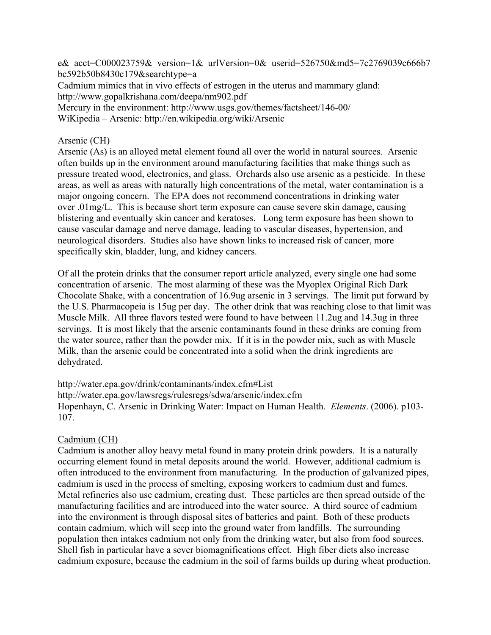e& acct=C000023759& version=1& urlVersion=0& userid=526750&md5=7c2769039c666b7 bc592b50b8430c179&searchtype=a

Cadmium mimics that in vivo effects of estrogen in the uterus and mammary gland: <http://www.gopalkrishana.com/deepa/nm902.pdf>

Mercury in the environment:<http://www.usgs.gov/themes/factsheet/146-00/>

WiKipedia – Arsenic:<http://en.wikipedia.org/wiki/Arsenic>

# Arsenic (CH)

Arsenic (As) is an alloyed metal element found all over the world in natural sources. Arsenic often builds up in the environment around manufacturing facilities that make things such as pressure treated wood, electronics, and glass. Orchards also use arsenic as a pesticide. In these areas, as well as areas with naturally high concentrations of the metal, water contamination is a major ongoing concern. The EPA does not recommend concentrations in drinking water over .01mg/L. This is because short term exposure can cause severe skin damage, causing blistering and eventually skin cancer and keratoses. Long term exposure has been shown to cause vascular damage and nerve damage, leading to vascular diseases, hypertension, and neurological disorders. Studies also have shown links to increased risk of cancer, more specifically skin, bladder, lung, and kidney cancers.

Of all the protein drinks that the consumer report article analyzed, every single one had some concentration of arsenic. The most alarming of these was the Myoplex Original Rich Dark Chocolate Shake, with a concentration of 16.9ug arsenic in 3 servings. The limit put forward by the U.S. Pharmacopeia is 15ug per day. The other drink that was reaching close to that limit was Muscle Milk. All three flavors tested were found to have between 11.2ug and 14.3ug in three servings. It is most likely that the arsenic contaminants found in these drinks are coming from the water source, rather than the powder mix. If it is in the powder mix, such as with Muscle Milk, than the arsenic could be concentrated into a solid when the drink ingredients are dehydrated.

<http://water.epa.gov/drink/contaminants/index.cfm#List> <http://water.epa.gov/lawsregs/rulesregs/sdwa/arsenic/index.cfm> Hopenhayn, C. Arsenic in Drinking Water: Impact on Human Health. *Elements*. (2006). p103- 107.

# Cadmium (CH)

Cadmium is another alloy heavy metal found in many protein drink powders. It is a naturally occurring element found in metal deposits around the world. However, additional cadmium is often introduced to the environment from manufacturing. In the production of galvanized pipes, cadmium is used in the process of smelting, exposing workers to cadmium dust and fumes. Metal refineries also use cadmium, creating dust. These particles are then spread outside of the manufacturing facilities and are introduced into the water source. A third source of cadmium into the environment is through disposal sites of batteries and paint. Both of these products contain cadmium, which will seep into the ground water from landfills. The surrounding population then intakes cadmium not only from the drinking water, but also from food sources. Shell fish in particular have a sever biomagnifications effect. High fiber diets also increase cadmium exposure, because the cadmium in the soil of farms builds up during wheat production.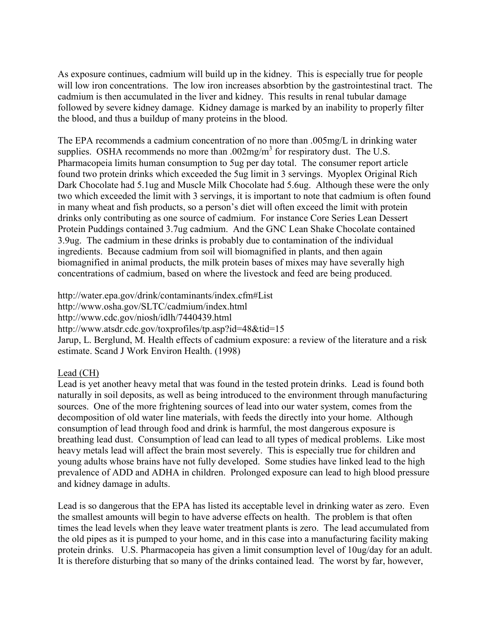As exposure continues, cadmium will build up in the kidney. This is especially true for people will low iron concentrations. The low iron increases absorbtion by the gastrointestinal tract. The cadmium is then accumulated in the liver and kidney. This results in renal tubular damage followed by severe kidney damage. Kidney damage is marked by an inability to properly filter the blood, and thus a buildup of many proteins in the blood.

The EPA recommends a cadmium concentration of no more than .005mg/L in drinking water supplies. OSHA recommends no more than  $.002mg/m<sup>3</sup>$  for respiratory dust. The U.S. Pharmacopeia limits human consumption to 5ug per day total. The consumer report article found two protein drinks which exceeded the 5ug limit in 3 servings. Myoplex Original Rich Dark Chocolate had 5.1ug and Muscle Milk Chocolate had 5.6ug. Although these were the only two which exceeded the limit with 3 servings, it is important to note that cadmium is often found in many wheat and fish products, so a person's diet will often exceed the limit with protein drinks only contributing as one source of cadmium. For instance Core Series Lean Dessert Protein Puddings contained 3.7ug cadmium. And the GNC Lean Shake Chocolate contained 3.9ug. The cadmium in these drinks is probably due to contamination of the individual ingredients. Because cadmium from soil will biomagnified in plants, and then again biomagnified in animal products, the milk protein bases of mixes may have severally high concentrations of cadmium, based on where the livestock and feed are being produced.

<http://water.epa.gov/drink/contaminants/index.cfm#List> <http://www.osha.gov/SLTC/cadmium/index.html> <http://www.cdc.gov/niosh/idlh/7440439.html> <http://www.atsdr.cdc.gov/toxprofiles/tp.asp?id=48&tid=15> Jarup, L. Berglund, M. Health effects of cadmium exposure: a review of the literature and a risk estimate. Scand J Work Environ Health. (1998)

# Lead (CH)

Lead is yet another heavy metal that was found in the tested protein drinks. Lead is found both naturally in soil deposits, as well as being introduced to the environment through manufacturing sources. One of the more frightening sources of lead into our water system, comes from the decomposition of old water line materials, with feeds the directly into your home. Although consumption of lead through food and drink is harmful, the most dangerous exposure is breathing lead dust. Consumption of lead can lead to all types of medical problems. Like most heavy metals lead will affect the brain most severely. This is especially true for children and young adults whose brains have not fully developed. Some studies have linked lead to the high prevalence of ADD and ADHA in children. Prolonged exposure can lead to high blood pressure and kidney damage in adults.

Lead is so dangerous that the EPA has listed its acceptable level in drinking water as zero. Even the smallest amounts will begin to have adverse effects on health. The problem is that often times the lead levels when they leave water treatment plants is zero. The lead accumulated from the old pipes as it is pumped to your home, and in this case into a manufacturing facility making protein drinks. U.S. Pharmacopeia has given a limit consumption level of 10ug/day for an adult. It is therefore disturbing that so many of the drinks contained lead. The worst by far, however,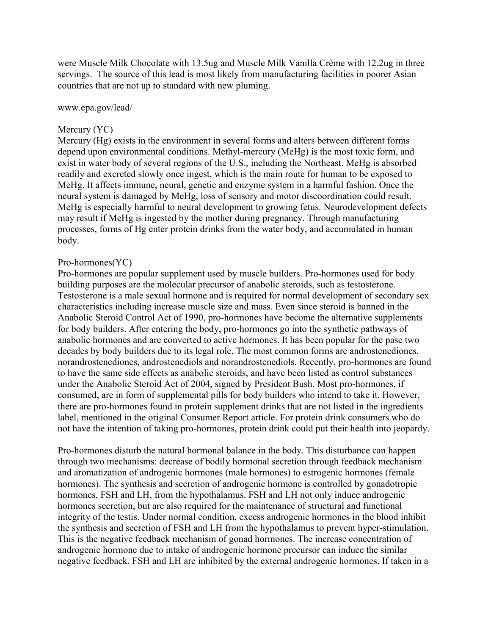were Muscle Milk Chocolate with 13.5ug and Muscle Milk Vanilla Crème with 12.2ug in three servings. The source of this lead is most likely from manufacturing facilities in poorer Asian countries that are not up to standard with new pluming.

www.epa.gov/lead/

### Mercury (YC)

Mercury (Hg) exists in the environment in several forms and alters between different forms depend upon environmental conditions. Methyl-mercury (MeHg) is the most toxic form, and exist in water body of several regions of the U.S., including the Northeast. MeHg is absorbed readily and excreted slowly once ingest, which is the main route for human to be exposed to MeHg. It affects immune, neural, genetic and enzyme system in a harmful fashion. Once the neural system is damaged by MeHg, loss of sensory and motor discoordination could result. MeHg is especially harmful to neural development to growing fetus. Neurodevelopment defects may result if MeHg is ingested by the mother during pregnancy. Through manufacturing processes, forms of Hg enter protein drinks from the water body, and accumulated in human body.

#### Pro-hormones(YC)

Pro-hormones are popular supplement used by muscle builders. Pro-hormones used for body building purposes are the molecular precursor of anabolic steroids, such as testosterone. Testosterone is a male sexual hormone and is required for normal development of secondary sex characteristics including increase muscle size and mass. Even since steroid is banned in the Anabolic Steroid Control Act of 1990, pro-hormones have become the alternative supplements for body builders. After entering the body, pro-hormones go into the synthetic pathways of anabolic hormones and are converted to active hormones. It has been popular for the pase two decades by body builders due to its legal role. The most common forms are androstenediones, norandrostenediones, androstenediols and norandrostenediols. Recently, pro-hormones are found to have the same side effects as anabolic steroids, and have been listed as control substances under the Anabolic Steroid Act of 2004, signed by President Bush. Most pro-hormones, if consumed, are in form of supplemental pills for body builders who intend to take it. However, there are pro-hormones found in protein supplement drinks that are not listed in the ingredients label, mentioned in the original Consumer Report article. For protein drink consumers who do not have the intention of taking pro-hormones, protein drink could put their health into jeopardy.

Pro-hormones disturb the natural hormonal balance in the body. This disturbance can happen through two mechanisms: decrease of bodily hormonal secretion through feedback mechanism and aromatization of androgenic hormones (male hormones) to estrogenic hormones (female hormones). The synthesis and secretion of androgenic hormone is controlled by gonadotropic hormones, FSH and LH, from the hypothalamus. FSH and LH not only induce androgenic hormones secretion, but are also required for the maintenance of structural and functional integrity of the testis. Under normal condition, excess androgenic hormones in the blood inhibit the synthesis and secretion of FSH and LH from the hypothalamus to prevent hyper-stimulation. This is the negative feedback mechanism of gonad hormones. The increase concentration of androgenic hormone due to intake of androgenic hormone precursor can induce the similar negative feedback. FSH and LH are inhibited by the external androgenic hormones. If taken in a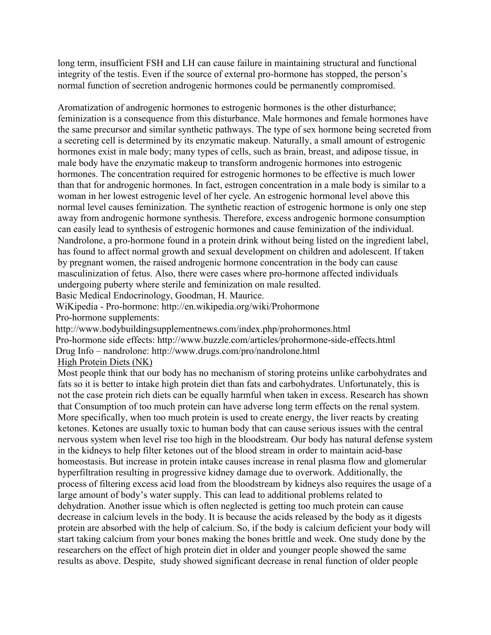long term, insufficient FSH and LH can cause failure in maintaining structural and functional integrity of the testis. Even if the source of external pro-hormone has stopped, the person's normal function of secretion androgenic hormones could be permanently compromised.

Aromatization of androgenic hormones to estrogenic hormones is the other disturbance; feminization is a consequence from this disturbance. Male hormones and female hormones have the same precursor and similar synthetic pathways. The type of sex hormone being secreted from a secreting cell is determined by its enzymatic makeup. Naturally, a small amount of estrogenic hormones exist in male body; many types of cells, such as brain, breast, and adipose tissue, in male body have the enzymatic makeup to transform androgenic hormones into estrogenic hormones. The concentration required for estrogenic hormones to be effective is much lower than that for androgenic hormones. In fact, estrogen concentration in a male body is similar to a woman in her lowest estrogenic level of her cycle. An estrogenic hormonal level above this normal level causes feminization. The synthetic reaction of estrogenic hormone is only one step away from androgenic hormone synthesis. Therefore, excess androgenic hormone consumption can easily lead to synthesis of estrogenic hormones and cause feminization of the individual. Nandrolone, a pro-hormone found in a protein drink without being listed on the ingredient label, has found to affect normal growth and sexual development on children and adolescent. If taken by pregnant women, the raised androgenic hormone concentration in the body can cause masculinization of fetus. Also, there were cases where pro-hormone affected individuals undergoing puberty where sterile and feminization on male resulted.

Basic Medical Endocrinology, Goodman, H. Maurice.

WiKipedia - Pro-hormone:<http://en.wikipedia.org/wiki/Prohormone> Pro-hormone supplements:

<http://www.bodybuildingsupplementnews.com/index.php/prohormones.html> Pro-hormone side effects:<http://www.buzzle.com/articles/prohormone-side-effects.html> Drug Info – nandrolone:<http://www.drugs.com/pro/nandrolone.html> High Protein Diets (NK)

Most people think that our body has no mechanism of storing proteins unlike carbohydrates and fats so it is better to intake high protein diet than fats and carbohydrates. Unfortunately, this is not the case protein rich diets can be equally harmful when taken in excess. Research has shown that Consumption of too much protein can have adverse long term effects on the renal system. More specifically, when too much protein is used to create energy, the liver reacts by creating ketones. Ketones are usually toxic to human body that can cause serious issues with the central nervous system when level rise too high in the bloodstream. Our body has natural defense system in the kidneys to help filter ketones out of the blood stream in order to maintain acid-base homeostasis. But increase in protein intake causes increase in renal plasma flow and glomerular hyperfiltration resulting in progressive kidney damage due to overwork. Additionally, the process of filtering excess acid load from the bloodstream by kidneys also requires the usage of a large amount of body's water supply. This can lead to additional problems related to dehydration. Another issue which is often neglected is getting too much protein can cause decrease in calcium levels in the body. It is because the acids released by the body as it digests protein are absorbed with the help of calcium. So, if the body is calcium deficient your body will start taking calcium from your bones making the bones brittle and week. One study done by the researchers on the effect of high protein diet in older and younger people showed the same results as above. Despite, study showed significant decrease in renal function of older people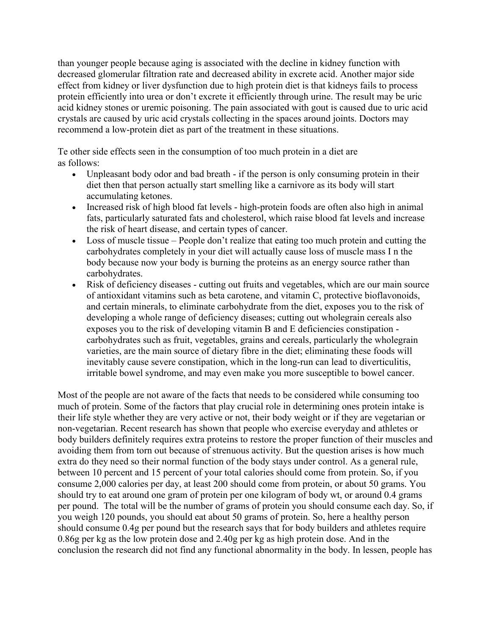than younger people because aging is associated with the decline in kidney function with decreased glomerular filtration rate and decreased ability in excrete acid. Another major side effect from kidney or liver dysfunction due to high protein diet is that kidneys fails to process protein efficiently into urea or don't excrete it efficiently through urine. The result may be uric acid kidney stones or uremic poisoning. The pain associated with gout is caused due to uric acid crystals are caused by uric acid crystals collecting in the spaces around joints. Doctors may recommend a low-protein diet as part of the treatment in these situations.

Te other side effects seen in the consumption of too much protein in a diet are as follows:

- Unpleasant body odor and bad breath if the person is only consuming protein in their diet then that person actually start smelling like a carnivore as its body will start accumulating ketones.
- Increased risk of high blood fat levels high-protein foods are often also high in animal fats, particularly saturated fats and cholesterol, which raise blood fat levels and increase the risk of heart disease, and certain types of cancer.
- Loss of muscle tissue People don't realize that eating too much protein and cutting the carbohydrates completely in your diet will actually cause loss of muscle mass I n the body because now your body is burning the proteins as an energy source rather than carbohydrates.
- Risk of deficiency diseases cutting out fruits and vegetables, which are our main source of antioxidant vitamins such as beta carotene, and vitamin C, protective bioflavonoids, and certain minerals, to eliminate carbohydrate from the diet, exposes you to the risk of developing a whole range of deficiency diseases; cutting out wholegrain cereals also exposes you to the risk of developing vitamin B and E deficiencies constipation carbohydrates such as fruit, vegetables, grains and cereals, particularly the wholegrain varieties, are the main source of dietary fibre in the diet; eliminating these foods will inevitably cause severe constipation, which in the long-run can lead to diverticulitis, irritable bowel syndrome, and may even make you more susceptible to bowel cancer.

Most of the people are not aware of the facts that needs to be considered while consuming too much of protein. Some of the factors that play crucial role in determining ones protein intake is their life style whether they are very active or not, their body weight or if they are vegetarian or non-vegetarian. Recent research has shown that people who exercise everyday and athletes or body builders definitely requires extra proteins to restore the proper function of their muscles and avoiding them from torn out because of strenuous activity. But the question arises is how much extra do they need so their normal function of the body stays under control. As a general rule, between 10 percent and 15 percent of your total calories should come from protein. So, if you consume 2,000 calories per day, at least 200 should come from protein, or about 50 grams. You should try to eat around one gram of protein per one kilogram of body wt, or around 0.4 grams per pound. The total will be the number of grams of protein you should consume each day. So, if you weigh 120 pounds, you should eat about 50 grams of protein. So, here a healthy person should consume 0.4g per pound but the research says that for body builders and athletes require 0.86g per kg as the low protein dose and 2.40g per kg as high protein dose. And in the conclusion the research did not find any functional abnormality in the body. In lessen, people has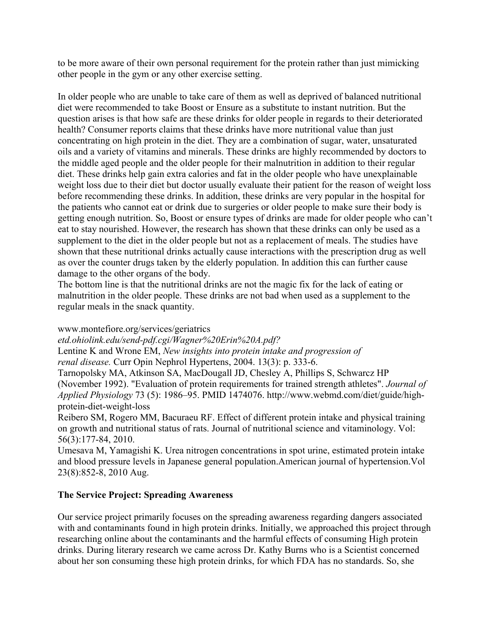to be more aware of their own personal requirement for the protein rather than just mimicking other people in the gym or any other exercise setting.

In older people who are unable to take care of them as well as deprived of balanced nutritional diet were recommended to take Boost or Ensure as a substitute to instant nutrition. But the question arises is that how safe are these drinks for older people in regards to their deteriorated health? Consumer reports claims that these drinks have more nutritional value than just concentrating on high protein in the diet. They are a combination of sugar, water, unsaturated oils and a variety of vitamins and minerals. These drinks are highly recommended by doctors to the middle aged people and the older people for their malnutrition in addition to their regular diet. These drinks help gain extra calories and fat in the older people who have unexplainable weight loss due to their diet but doctor usually evaluate their patient for the reason of weight loss before recommending these drinks. In addition, these drinks are very popular in the hospital for the patients who cannot eat or drink due to surgeries or older people to make sure their body is getting enough nutrition. So, Boost or ensure types of drinks are made for older people who can't eat to stay nourished. However, the research has shown that these drinks can only be used as a supplement to the diet in the older people but not as a replacement of meals. The studies have shown that these nutritional drinks actually cause interactions with the prescription drug as well as over the counter drugs taken by the elderly population. In addition this can further cause damage to the other organs of the body.

The bottom line is that the nutritional drinks are not the magic fix for the lack of eating or malnutrition in the older people. These drinks are not bad when used as a supplement to the regular meals in the snack quantity.

# [www.montefiore.org/services/geriatrics](http://www.montefiore.org/services/geriatrics)

*etd.ohiolink.edu/send-pdf.cgi/Wagner%20Erin%20A.pdf?*

Lentine K and Wrone EM, *New insights into protein intake and progression of renal disease.* Curr Opin Nephrol Hypertens, 2004. 13(3): p. 333-6.

Tarnopolsky MA, Atkinson SA, MacDougall JD, Chesley A, Phillips S, Schwarcz HP (November 1992). "Evaluation of protein requirements for trained strength athletes". *Journal of Applied Physiology* 73 (5): 1986–95. [PMID](http://en.wikipedia.org/wiki/PubMed_Identifier) [1474076.](http://www.ncbi.nlm.nih.gov/pubmed/1474076) http://www.webmd.com/diet/guide/highprotein-diet-weight-loss

Reibero SM, Rogero MM, Bacuraeu RF. Effect of different protein intake and physical training on growth and nutritional status of rats. Journal of nutritional science and vitaminology. Vol: 56(3):177-84, 2010.

Umesava M, Yamagishi K. Urea nitrogen concentrations in spot urine, estimated protein intake and blood pressure levels in Japanese general population.American journal of hypertension.Vol 23(8):852-8, 2010 Aug.

# **The Service Project: Spreading Awareness**

Our service project primarily focuses on the spreading awareness regarding dangers associated with and contaminants found in high protein drinks. Initially, we approached this project through researching online about the contaminants and the harmful effects of consuming High protein drinks. During literary research we came across Dr. Kathy Burns who is a Scientist concerned about her son consuming these high protein drinks, for which FDA has no standards. So, she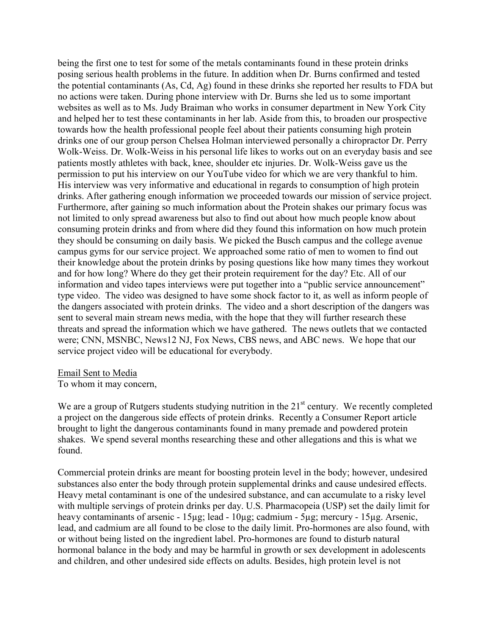being the first one to test for some of the metals contaminants found in these protein drinks posing serious health problems in the future. In addition when Dr. Burns confirmed and tested the potential contaminants (As, Cd, Ag) found in these drinks she reported her results to FDA but no actions were taken. During phone interview with Dr. Burns she led us to some important websites as well as to Ms. Judy Braiman who works in consumer department in New York City and helped her to test these contaminants in her lab. Aside from this, to broaden our prospective towards how the health professional people feel about their patients consuming high protein drinks one of our group person Chelsea Holman interviewed personally a chiropractor Dr. Perry Wolk-Weiss. Dr. Wolk-Weiss in his personal life likes to works out on an everyday basis and see patients mostly athletes with back, knee, shoulder etc injuries. Dr. Wolk-Weiss gave us the permission to put his interview on our YouTube video for which we are very thankful to him. His interview was very informative and educational in regards to consumption of high protein drinks. After gathering enough information we proceeded towards our mission of service project. Furthermore, after gaining so much information about the Protein shakes our primary focus was not limited to only spread awareness but also to find out about how much people know about consuming protein drinks and from where did they found this information on how much protein they should be consuming on daily basis. We picked the Busch campus and the college avenue campus gyms for our service project. We approached some ratio of men to women to find out their knowledge about the protein drinks by posing questions like how many times they workout and for how long? Where do they get their protein requirement for the day? Etc. All of our information and video tapes interviews were put together into a "public service announcement" type video. The video was designed to have some shock factor to it, as well as inform people of the dangers associated with protein drinks. The video and a short description of the dangers was sent to several main stream news media, with the hope that they will further research these threats and spread the information which we have gathered. The news outlets that we contacted were; CNN, MSNBC, News12 NJ, Fox News, CBS news, and ABC news. We hope that our service project video will be educational for everybody.

#### Email Sent to Media

To whom it may concern,

We are a group of Rutgers students studying nutrition in the  $21<sup>st</sup>$  century. We recently completed a project on the dangerous side effects of protein drinks. Recently a Consumer Report article brought to light the dangerous contaminants found in many premade and powdered protein shakes. We spend several months researching these and other allegations and this is what we found.

Commercial protein drinks are meant for boosting protein level in the body; however, undesired substances also enter the body through protein supplemental drinks and cause undesired effects. Heavy metal contaminant is one of the undesired substance, and can accumulate to a risky level with multiple servings of protein drinks per day. U.S. Pharmacopeia (USP) set the daily limit for heavy contaminants of arsenic - 15µg; lead - 10µg; cadmium - 5µg; mercury - 15µg. Arsenic, lead, and cadmium are all found to be close to the daily limit. Pro-hormones are also found, with or without being listed on the ingredient label. Pro-hormones are found to disturb natural hormonal balance in the body and may be harmful in growth or sex development in adolescents and children, and other undesired side effects on adults. Besides, high protein level is not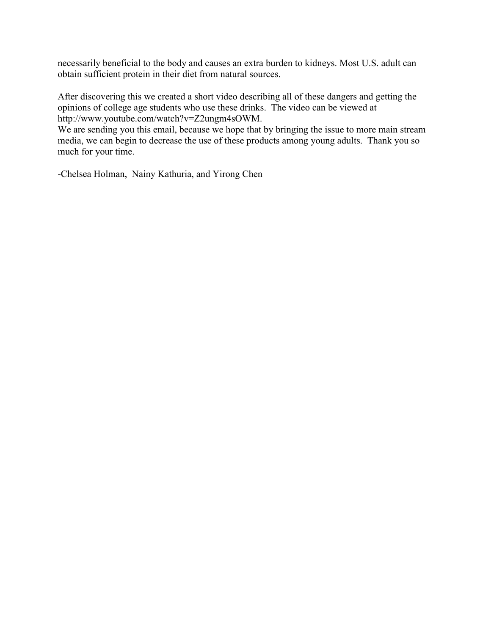necessarily beneficial to the body and causes an extra burden to kidneys. Most U.S. adult can obtain sufficient protein in their diet from natural sources.

After discovering this we created a short video describing all of these dangers and getting the opinions of college age students who use these drinks. The video can be viewed at [http://www.youtube.com/watch?v=Z2ungm4sOWM.](http://www.youtube.com/watch?v=Z2ungm4sOWM)

We are sending you this email, because we hope that by bringing the issue to more main stream media, we can begin to decrease the use of these products among young adults. Thank you so much for your time.

-Chelsea Holman, Nainy Kathuria, and Yirong Chen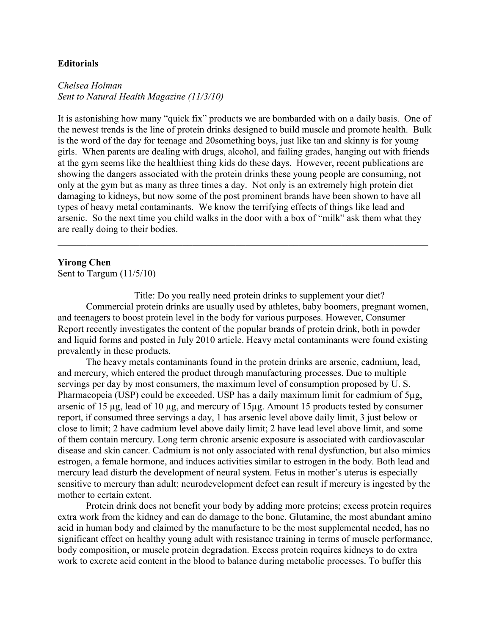#### **Editorials**

*Chelsea Holman Sent to Natural Health Magazine (11/3/10)*

It is astonishing how many "quick fix" products we are bombarded with on a daily basis. One of the newest trends is the line of protein drinks designed to build muscle and promote health. Bulk is the word of the day for teenage and 20something boys, just like tan and skinny is for young girls. When parents are dealing with drugs, alcohol, and failing grades, hanging out with friends at the gym seems like the healthiest thing kids do these days. However, recent publications are showing the dangers associated with the protein drinks these young people are consuming, not only at the gym but as many as three times a day. Not only is an extremely high protein diet damaging to kidneys, but now some of the post prominent brands have been shown to have all types of heavy metal contaminants. We know the terrifying effects of things like lead and arsenic. So the next time you child walks in the door with a box of "milk" ask them what they are really doing to their bodies.

 $\mathcal{L}_\mathcal{L} = \{ \mathcal{L}_\mathcal{L} = \{ \mathcal{L}_\mathcal{L} = \{ \mathcal{L}_\mathcal{L} = \{ \mathcal{L}_\mathcal{L} = \{ \mathcal{L}_\mathcal{L} = \{ \mathcal{L}_\mathcal{L} = \{ \mathcal{L}_\mathcal{L} = \{ \mathcal{L}_\mathcal{L} = \{ \mathcal{L}_\mathcal{L} = \{ \mathcal{L}_\mathcal{L} = \{ \mathcal{L}_\mathcal{L} = \{ \mathcal{L}_\mathcal{L} = \{ \mathcal{L}_\mathcal{L} = \{ \mathcal{L}_\mathcal{$ 

#### **Yirong Chen**

Sent to Targum (11/5/10)

Title: Do you really need protein drinks to supplement your diet? Commercial protein drinks are usually used by athletes, baby boomers, pregnant women, and teenagers to boost protein level in the body for various purposes. However, Consumer Report recently investigates the content of the popular brands of protein drink, both in powder and liquid forms and posted in July 2010 article. Heavy metal contaminants were found existing prevalently in these products.

The heavy metals contaminants found in the protein drinks are arsenic, cadmium, lead, and mercury, which entered the product through manufacturing processes. Due to multiple servings per day by most consumers, the maximum level of consumption proposed by U. S. Pharmacopeia (USP) could be exceeded. USP has a daily maximum limit for cadmium of 5µg, arsenic of 15 µg, lead of 10 µg, and mercury of 15µg. Amount 15 products tested by consumer report, if consumed three servings a day, 1 has arsenic level above daily limit, 3 just below or close to limit; 2 have cadmium level above daily limit; 2 have lead level above limit, and some of them contain mercury. Long term chronic arsenic exposure is associated with cardiovascular disease and skin cancer. Cadmium is not only associated with renal dysfunction, but also mimics estrogen, a female hormone, and induces activities similar to estrogen in the body. Both lead and mercury lead disturb the development of neural system. Fetus in mother's uterus is especially sensitive to mercury than adult; neurodevelopment defect can result if mercury is ingested by the mother to certain extent.

Protein drink does not benefit your body by adding more proteins; excess protein requires extra work from the kidney and can do damage to the bone. Glutamine, the most abundant amino acid in human body and claimed by the manufacture to be the most supplemental needed, has no significant effect on healthy young adult with resistance training in terms of muscle performance, body composition, or muscle protein degradation. Excess protein requires kidneys to do extra work to excrete acid content in the blood to balance during metabolic processes. To buffer this